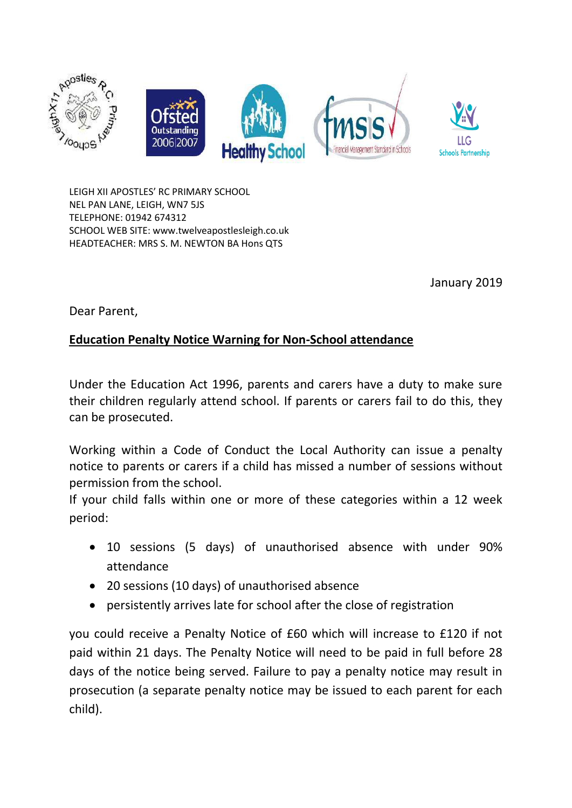

LEIGH XII APOSTLES' RC PRIMARY SCHOOL NEL PAN LANE, LEIGH, WN7 5JS TELEPHONE: 01942 674312 SCHOOL WEB SITE: www.twelveapostlesleigh.co.uk HEADTEACHER: MRS S. M. NEWTON BA Hons QTS

January 2019

Dear Parent,

## **Education Penalty Notice Warning for Non-School attendance**

Under the Education Act 1996, parents and carers have a duty to make sure their children regularly attend school. If parents or carers fail to do this, they can be prosecuted.

Working within a Code of Conduct the Local Authority can issue a penalty notice to parents or carers if a child has missed a number of sessions without permission from the school.

If your child falls within one or more of these categories within a 12 week period:

- 10 sessions (5 days) of unauthorised absence with under 90% attendance
- 20 sessions (10 days) of unauthorised absence
- persistently arrives late for school after the close of registration

you could receive a Penalty Notice of £60 which will increase to £120 if not paid within 21 days. The Penalty Notice will need to be paid in full before 28 days of the notice being served. Failure to pay a penalty notice may result in prosecution (a separate penalty notice may be issued to each parent for each child).